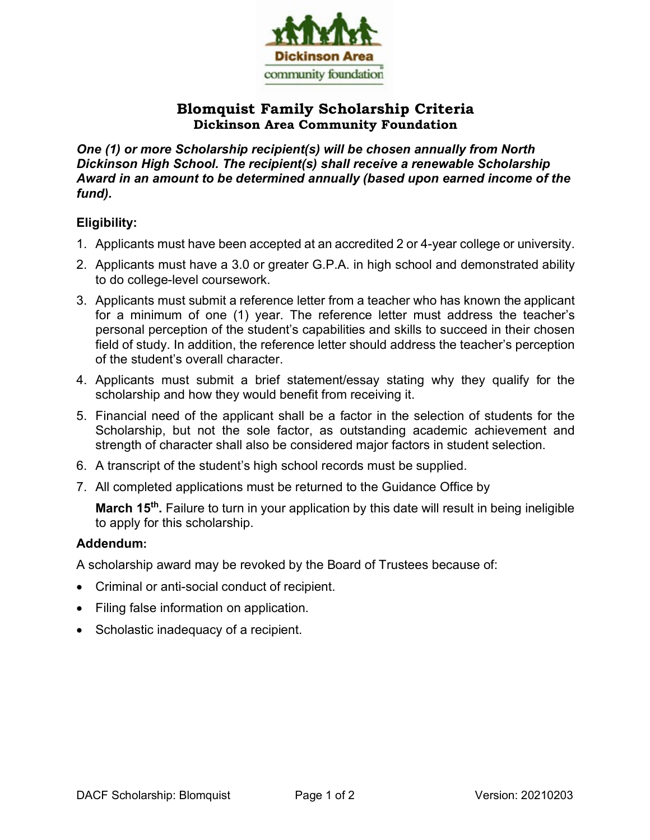

# **Blomquist Family Scholarship Criteria Dickinson Area Community Foundation**

*One (1) or more Scholarship recipient(s) will be chosen annually from North Dickinson High School. The recipient(s) shall receive a renewable Scholarship Award in an amount to be determined annually (based upon earned income of the fund).*

## **Eligibility:**

- 1. Applicants must have been accepted at an accredited 2 or 4-year college or university.
- 2. Applicants must have a 3.0 or greater G.P.A. in high school and demonstrated ability to do college-level coursework.
- 3. Applicants must submit a reference letter from a teacher who has known the applicant for a minimum of one (1) year. The reference letter must address the teacher's personal perception of the student's capabilities and skills to succeed in their chosen field of study. In addition, the reference letter should address the teacher's perception of the student's overall character.
- 4. Applicants must submit a brief statement/essay stating why they qualify for the scholarship and how they would benefit from receiving it.
- 5. Financial need of the applicant shall be a factor in the selection of students for the Scholarship, but not the sole factor, as outstanding academic achievement and strength of character shall also be considered major factors in student selection.
- 6. A transcript of the student's high school records must be supplied.
- 7. All completed applications must be returned to the Guidance Office by

**March 15th.** Failure to turn in your application by this date will result in being ineligible to apply for this scholarship.

## **Addendum:**

A scholarship award may be revoked by the Board of Trustees because of:

- Criminal or anti-social conduct of recipient.
- Filing false information on application.
- Scholastic inadequacy of a recipient.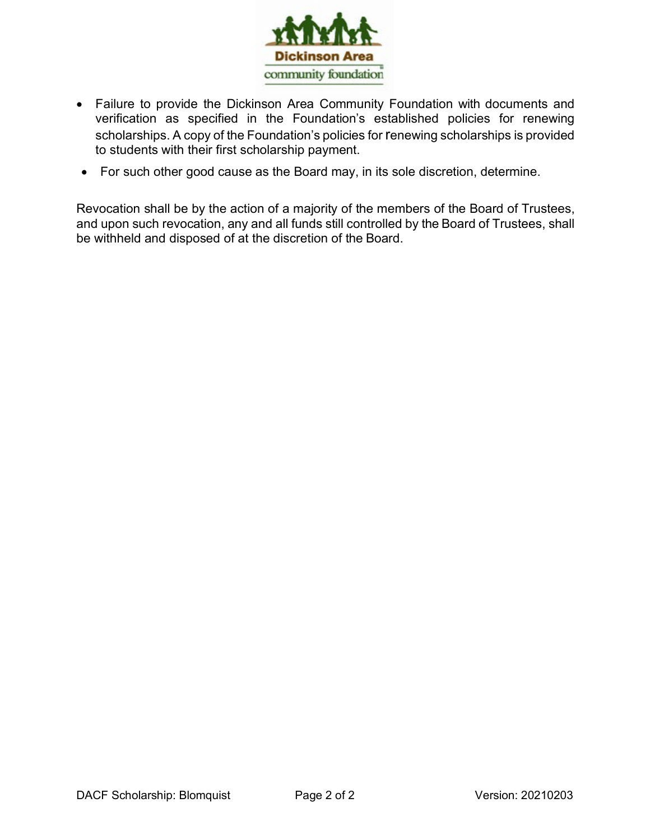

- Failure to provide the Dickinson Area Community Foundation with documents and verification as specified in the Foundation's established policies for renewing scholarships. A copy of the Foundation's policies for renewing scholarships is provided to students with their first scholarship payment.
- For such other good cause as the Board may, in its sole discretion, determine.

Revocation shall be by the action of a majority of the members of the Board of Trustees, and upon such revocation, any and all funds still controlled by the Board of Trustees, shall be withheld and disposed of at the discretion of the Board.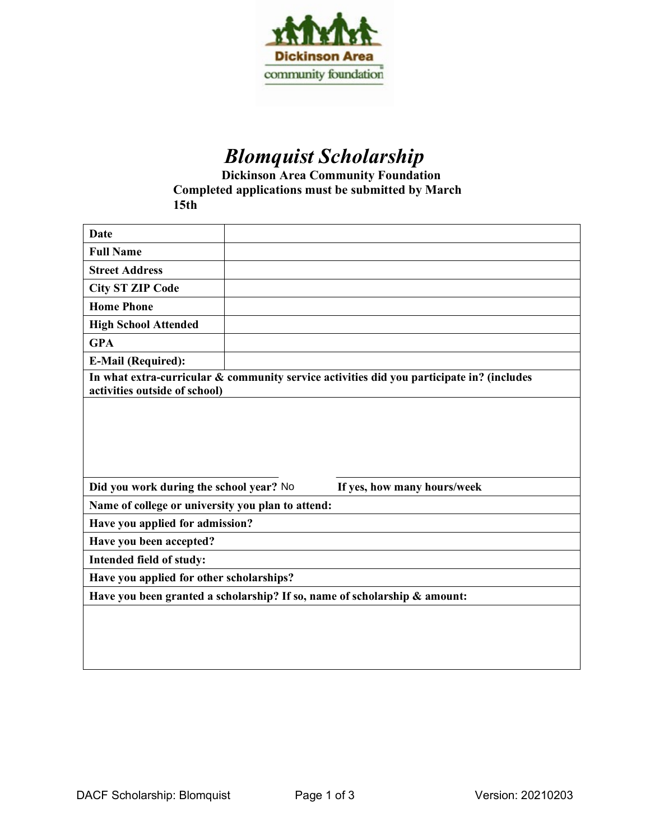

# *Blomquist Scholarship*

**Dickinson Area Community Foundation Completed applications must be submitted by March 15th**

| <b>Date</b>                                                                                                                |  |                             |  |  |
|----------------------------------------------------------------------------------------------------------------------------|--|-----------------------------|--|--|
| <b>Full Name</b>                                                                                                           |  |                             |  |  |
| <b>Street Address</b>                                                                                                      |  |                             |  |  |
| <b>City ST ZIP Code</b>                                                                                                    |  |                             |  |  |
| <b>Home Phone</b>                                                                                                          |  |                             |  |  |
| <b>High School Attended</b>                                                                                                |  |                             |  |  |
| <b>GPA</b>                                                                                                                 |  |                             |  |  |
| <b>E-Mail (Required):</b>                                                                                                  |  |                             |  |  |
| In what extra-curricular & community service activities did you participate in? (includes<br>activities outside of school) |  |                             |  |  |
|                                                                                                                            |  |                             |  |  |
|                                                                                                                            |  |                             |  |  |
|                                                                                                                            |  |                             |  |  |
|                                                                                                                            |  |                             |  |  |
| Did you work during the school year? No                                                                                    |  | If yes, how many hours/week |  |  |
| Name of college or university you plan to attend:                                                                          |  |                             |  |  |
| Have you applied for admission?                                                                                            |  |                             |  |  |
| Have you been accepted?                                                                                                    |  |                             |  |  |
| Intended field of study:                                                                                                   |  |                             |  |  |
| Have you applied for other scholarships?                                                                                   |  |                             |  |  |
| Have you been granted a scholarship? If so, name of scholarship & amount:                                                  |  |                             |  |  |
|                                                                                                                            |  |                             |  |  |
|                                                                                                                            |  |                             |  |  |
|                                                                                                                            |  |                             |  |  |
|                                                                                                                            |  |                             |  |  |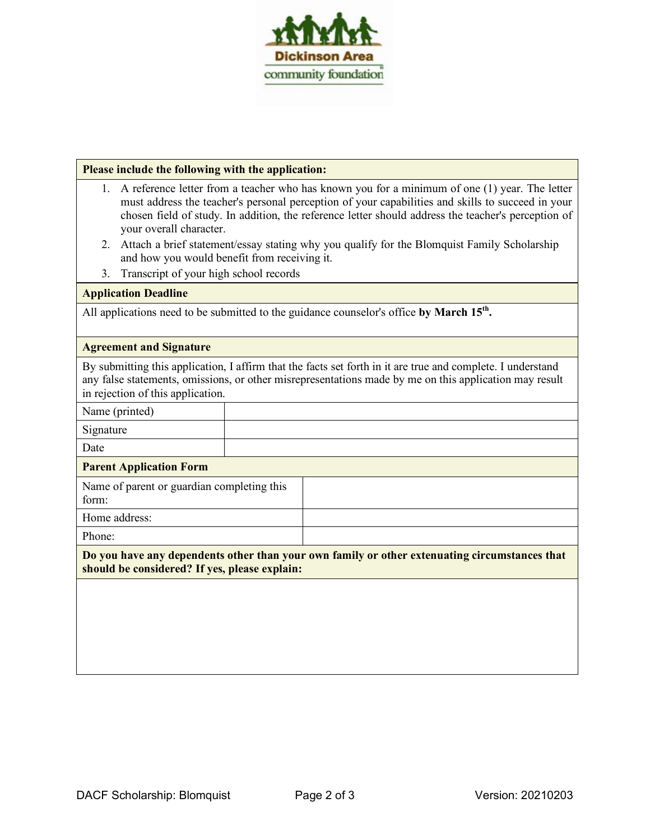

#### **Please include the following with the application:**

- 1. A reference letter from a teacher who has known you for a minimum of one (1) year. The letter must address the teacher's personal perception of your capabilities and skills to succeed in your chosen field of study. In addition, the reference letter should address the teacher's perception of your overall character.
- 2. Attach a brief statement/essay stating why you qualify for the Blomquist Family Scholarship and how you would benefit from receiving it.
- 3. Transcript of your high school records

#### **Application Deadline**

All applications need to be submitted to the guidance counselor's office **by March 15th.**

#### **Agreement and Signature**

By submitting this application, I affirm that the facts set forth in it are true and complete. I understand any false statements, omissions, or other misrepresentations made by me on this application may result in rejection of this application.

Name (printed)

Signature

Date

#### **Parent Application Form**

Name of parent or guardian completing this form: Home address: Phone:

**Do you have any dependents other than your own family or other extenuating circumstances that should be considered? If yes, please explain:**